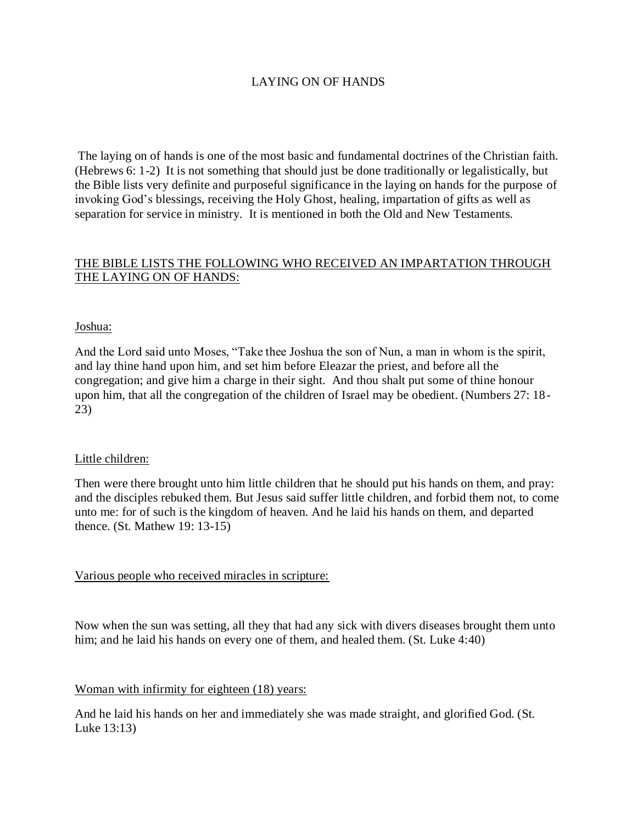# LAYING ON OF HANDS

The laying on of hands is one of the most basic and fundamental doctrines of the Christian faith. (Hebrews 6: 1-2) It is not something that should just be done traditionally or legalistically, but the Bible lists very definite and purposeful significance in the laying on hands for the purpose of invoking God's blessings, receiving the Holy Ghost, healing, impartation of gifts as well as separation for service in ministry. It is mentioned in both the Old and New Testaments.

## THE BIBLE LISTS THE FOLLOWING WHO RECEIVED AN IMPARTATION THROUGH THE LAYING ON OF HANDS:

#### Joshua:

And the Lord said unto Moses, "Take thee Joshua the son of Nun, a man in whom is the spirit, and lay thine hand upon him, and set him before Eleazar the priest, and before all the congregation; and give him a charge in their sight. And thou shalt put some of thine honour upon him, that all the congregation of the children of Israel may be obedient. (Numbers 27: 18- 23)

#### Little children:

Then were there brought unto him little children that he should put his hands on them, and pray: and the disciples rebuked them. But Jesus said suffer little children, and forbid them not, to come unto me: for of such is the kingdom of heaven. And he laid his hands on them, and departed thence. (St. Mathew 19: 13-15)

### Various people who received miracles in scripture:

Now when the sun was setting, all they that had any sick with divers diseases brought them unto him; and he laid his hands on every one of them, and healed them. (St. Luke 4:40)

### Woman with infirmity for eighteen (18) years:

And he laid his hands on her and immediately she was made straight, and glorified God. (St. Luke 13:13)